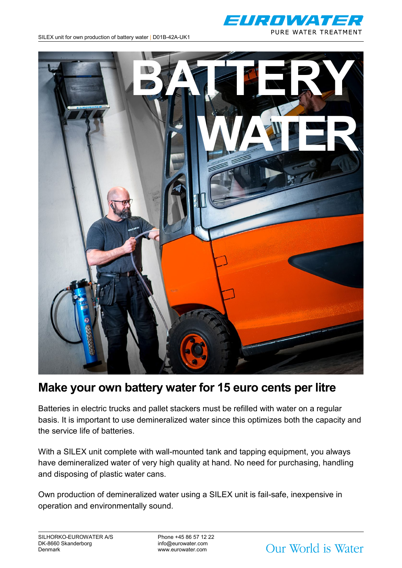



# **Make your own battery water for 15 euro cents per litre**

Batteries in electric trucks and pallet stackers must be refilled with water on a regular basis. It is important to use demineralized water since this optimizes both the capacity and the service life of batteries.

With a SILEX unit complete with wall-mounted tank and tapping equipment, you always have demineralized water of very high quality at hand. No need for purchasing, handling and disposing of plastic water cans.

Own production of demineralized water using a SILEX unit is fail-safe, inexpensive in operation and environmentally sound.

Our World is Water